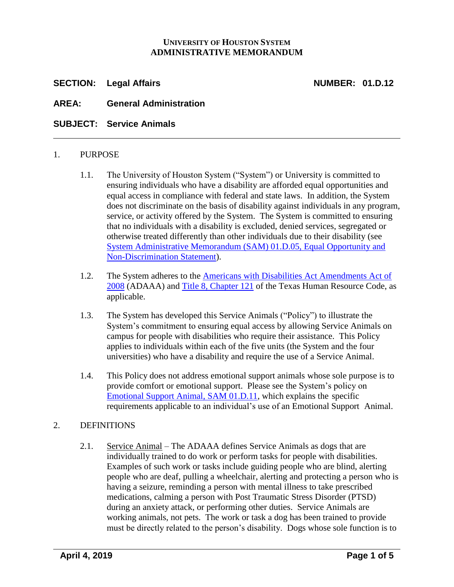# **UNIVERSITY OF HOUSTON SYSTEM ADMINISTRATIVE MEMORANDUM**

**SECTION: Legal Affairs NUMBER: 01.D.12**

**AREA: General Administration**

**SUBJECT: Service Animals**

## 1. PURPOSE

- 1.1. The University of Houston System ("System") or University is committed to ensuring individuals who have a disability are afforded equal opportunities and equal access in compliance with federal and state laws. In addition, the System does not discriminate on the basis of disability against individuals in any program, service, or activity offered by the System. The System is committed to ensuring that no individuals with a disability is excluded, denied services, segregated or otherwise treated differently than other individuals due to their disability (see [System Administrative Memorandum \(SAM\)](http://www.uhsystem.edu/compliance-ethics/_docs/sam/01/1d5.pdf) 01.D.05, Equal Opportunity and [Non-Discrimination Statement\)](http://www.uhsystem.edu/compliance-ethics/_docs/sam/01/1d5.pdf).
- 1.2. The System adheres to the [Americans with Disabilities Act Amendments Act of](https://www.ada.gov/service_animals_2010.htm)  [2008](https://www.ada.gov/service_animals_2010.htm) (ADAAA) and [Title 8, Chapter 121](http://www.statutes.legis.state.tx.us/Docs/HR/htm/HR.121.htm) of the Texas Human Resource Code, as applicable.
- 1.3. The System has developed this Service Animals ("Policy") to illustrate the System's commitment to ensuring equal access by allowing Service Animals on campus for people with disabilities who require their assistance. This Policy applies to individuals within each of the five units (the System and the four universities) who have a disability and require the use of a Service Animal.
- 1.4. This Policy does not address emotional support animals whose sole purpose is to provide comfort or emotional support. Please see the System's policy on [Emotional Support Animal,](http://www.uhsystem.edu/compliance-ethics/_docs/sam/01/1d11.pdf) SAM 01.D.11, which explains the specific requirements applicable to an individual's use of an Emotional Support Animal.

# 2. DEFINITIONS

2.1. Service Animal – The ADAAA defines Service Animals as dogs that are individually trained to do work or perform tasks for people with disabilities. Examples of such work or tasks include guiding people who are blind, alerting people who are deaf, pulling a wheelchair, alerting and protecting a person who is having a seizure, reminding a person with mental illness to take prescribed medications, calming a person with Post Traumatic Stress Disorder (PTSD) during an anxiety attack, or performing other duties. Service Animals are working animals, not pets. The work or task a dog has been trained to provide must be directly related to the person's disability. Dogs whose sole function is to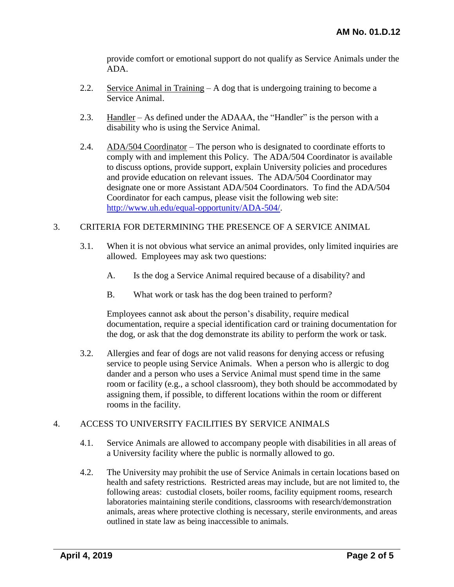provide comfort or emotional support do not qualify as Service Animals under the ADA.

- 2.2. Service Animal in Training A dog that is undergoing training to become a Service Animal.
- 2.3. Handler As defined under the ADAAA, the "Handler" is the person with a disability who is using the Service Animal.
- 2.4. ADA/504 Coordinator The person who is designated to coordinate efforts to comply with and implement this Policy. The ADA/504 Coordinator is available to discuss options, provide support, explain University policies and procedures and provide education on relevant issues. The ADA/504 Coordinator may designate one or more Assistant ADA/504 Coordinators. To find the ADA/504 Coordinator for each campus, please visit the following web site: [http://www.uh.edu/equal-opportunity/ADA-504/.](http://www.uh.edu/equal-opportunity/ADA-504/)

# 3. CRITERIA FOR DETERMINING THE PRESENCE OF A SERVICE ANIMAL

- 3.1. When it is not obvious what service an animal provides, only limited inquiries are allowed. Employees may ask two questions:
	- A. Is the dog a Service Animal required because of a disability? and
	- B. What work or task has the dog been trained to perform?

Employees cannot ask about the person's disability, require medical documentation, require a special identification card or training documentation for the dog, or ask that the dog demonstrate its ability to perform the work or task.

3.2. Allergies and fear of dogs are not valid reasons for denying access or refusing service to people using Service Animals. When a person who is allergic to dog dander and a person who uses a Service Animal must spend time in the same room or facility (e.g., a school classroom), they both should be accommodated by assigning them, if possible, to different locations within the room or different rooms in the facility.

## 4. ACCESS TO UNIVERSITY FACILITIES BY SERVICE ANIMALS

- 4.1. Service Animals are allowed to accompany people with disabilities in all areas of a University facility where the public is normally allowed to go.
- 4.2. The University may prohibit the use of Service Animals in certain locations based on health and safety restrictions. Restricted areas may include, but are not limited to, the following areas: custodial closets, boiler rooms, facility equipment rooms, research laboratories maintaining sterile conditions, classrooms with research/demonstration animals, areas where protective clothing is necessary, sterile environments, and areas outlined in state law as being inaccessible to animals.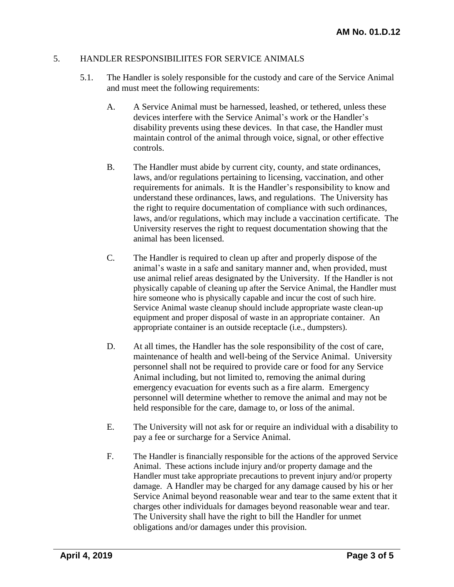## 5. HANDLER RESPONSIBILIITES FOR SERVICE ANIMALS

- 5.1. The Handler is solely responsible for the custody and care of the Service Animal and must meet the following requirements:
	- A. A Service Animal must be harnessed, leashed, or tethered, unless these devices interfere with the Service Animal's work or the Handler's disability prevents using these devices. In that case, the Handler must maintain control of the animal through voice, signal, or other effective controls.
	- B. The Handler must abide by current city, county, and state ordinances, laws, and/or regulations pertaining to licensing, vaccination, and other requirements for animals. It is the Handler's responsibility to know and understand these ordinances, laws, and regulations. The University has the right to require documentation of compliance with such ordinances, laws, and/or regulations, which may include a vaccination certificate. The University reserves the right to request documentation showing that the animal has been licensed.
	- C. The Handler is required to clean up after and properly dispose of the animal's waste in a safe and sanitary manner and, when provided, must use animal relief areas designated by the University. If the Handler is not physically capable of cleaning up after the Service Animal, the Handler must hire someone who is physically capable and incur the cost of such hire. Service Animal waste cleanup should include appropriate waste clean-up equipment and proper disposal of waste in an appropriate container. An appropriate container is an outside receptacle (i.e., dumpsters).
	- D. At all times, the Handler has the sole responsibility of the cost of care, maintenance of health and well-being of the Service Animal. University personnel shall not be required to provide care or food for any Service Animal including, but not limited to, removing the animal during emergency evacuation for events such as a fire alarm. Emergency personnel will determine whether to remove the animal and may not be held responsible for the care, damage to, or loss of the animal.
	- E. The University will not ask for or require an individual with a disability to pay a fee or surcharge for a Service Animal.
	- F. The Handler is financially responsible for the actions of the approved Service Animal. These actions include injury and/or property damage and the Handler must take appropriate precautions to prevent injury and/or property damage. A Handler may be charged for any damage caused by his or her Service Animal beyond reasonable wear and tear to the same extent that it charges other individuals for damages beyond reasonable wear and tear. The University shall have the right to bill the Handler for unmet obligations and/or damages under this provision.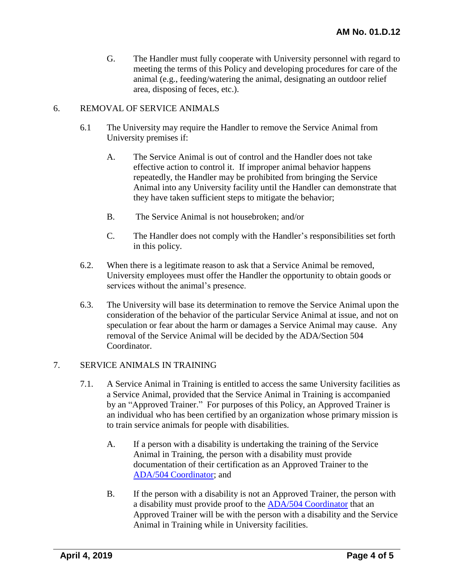G. The Handler must fully cooperate with University personnel with regard to meeting the terms of this Policy and developing procedures for care of the animal (e.g., feeding/watering the animal, designating an outdoor relief area, disposing of feces, etc.).

# 6. REMOVAL OF SERVICE ANIMALS

- 6.1 The University may require the Handler to remove the Service Animal from University premises if:
	- A. The Service Animal is out of control and the Handler does not take effective action to control it. If improper animal behavior happens repeatedly, the Handler may be prohibited from bringing the Service Animal into any University facility until the Handler can demonstrate that they have taken sufficient steps to mitigate the behavior;
	- B. The Service Animal is not housebroken; and/or
	- C. The Handler does not comply with the Handler's responsibilities set forth in this policy.
- 6.2. When there is a legitimate reason to ask that a Service Animal be removed, University employees must offer the Handler the opportunity to obtain goods or services without the animal's presence.
- 6.3. The University will base its determination to remove the Service Animal upon the consideration of the behavior of the particular Service Animal at issue, and not on speculation or fear about the harm or damages a Service Animal may cause. Any removal of the Service Animal will be decided by the ADA/Section 504 Coordinator.

## 7. SERVICE ANIMALS IN TRAINING

- 7.1. A Service Animal in Training is entitled to access the same University facilities as a Service Animal, provided that the Service Animal in Training is accompanied by an "Approved Trainer." For purposes of this Policy, an Approved Trainer is an individual who has been certified by an organization whose primary mission is to train service animals for people with disabilities.
	- A. If a person with a disability is undertaking the training of the Service Animal in Training, the person with a disability must provide documentation of their certification as an Approved Trainer to the [ADA/504 Coordinator;](http://www.uh.edu/equal-opportunity/ADA-504/) and
	- B. If the person with a disability is not an Approved Trainer, the person with a disability must provide proof to the [ADA/504 Coordinator](http://www.uh.edu/equal-opportunity/ADA-504/) that an Approved Trainer will be with the person with a disability and the Service Animal in Training while in University facilities.